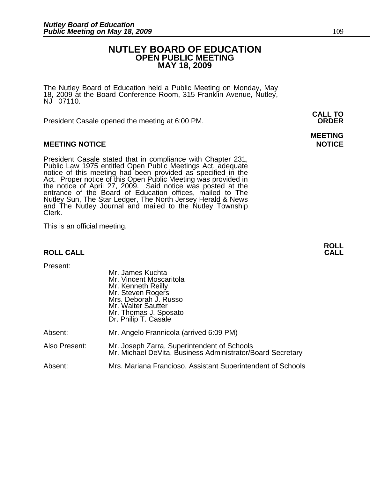### **NUTLEY BOARD OF EDUCATION OPEN PUBLIC MEETING MAY 18, 2009**

The Nutley Board of Education held a Public Meeting on Monday, May 18, 2009 at the Board Conference Room, 315 Franklin Avenue, Nutley, NJ 07110.

 **CALL TO**  President Casale opened the meeting at 6:00 PM. **ORDER**

#### **MEETING NOTICE NOTICE AND RESERVE ASSESS**

President Casale stated that in compliance with Chapter 231,<br>Public Law 1975 entitled Open Public Meetings Act, adequate<br>notice of this meeting had been provided as specified in the<br>Act. Proper notice of this Open Public M the notice of April 27, 2009. Said notice was posted at the<br>entrance of the Board of Education offices, mailed to The Nutley Sun, The Star Ledger, The North Jersey Herald & News and The Nutley Journal and mailed to the Nutley Township Clerk.

This is an official meeting.

#### **ROLL CALL**

| Present:      | Mr. James Kuchta<br>Mr. Vincent Moscaritola<br>Mr. Kenneth Reilly<br>Mr. Steven Rogers<br>Mrs. Deborah J. Russo<br>Mr. Walter Sautter<br>Mr. Thomas J. Sposato<br>Dr. Philip T. Casale |
|---------------|----------------------------------------------------------------------------------------------------------------------------------------------------------------------------------------|
| Absent:       | Mr. Angelo Frannicola (arrived 6:09 PM)                                                                                                                                                |
| Also Present: | Mr. Joseph Zarra, Superintendent of Schools<br>Mr. Michael DeVita, Business Administrator/Board Secretary                                                                              |
| Absent:       | Mrs. Mariana Francioso, Assistant Superintendent of Schools                                                                                                                            |

**MEETING** 

**ROLL**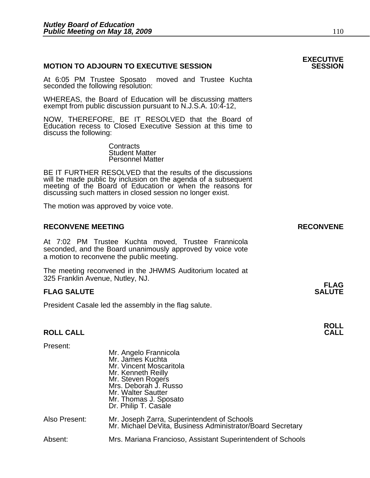#### **MOTION TO ADJOURN TO EXECUTIVE SESSION**

At 6:05 PM Trustee Sposato moved and Trustee Kuchta seconded the following resolution:

WHEREAS, the Board of Education will be discussing matters exempt from public discussion pursuant to N.J.S.A. 10:4-12,

NOW, THEREFORE, BE IT RESOLVED that the Board of Education recess to Closed Executive Session at this time to discuss the following:

> **Contracts**  Student Matter Personnel Matter

BE IT FURTHER RESOLVED that the results of the discussions will be made public by inclusion on the agenda of a subsequent meeting of the Board of Education or when the reasons for discussing such matters in closed session no longer exist.

The motion was approved by voice vote.

#### **RECONVENE MEETING RECONVENE**

At 7:02 PM Trustee Kuchta moved, Trustee Frannicola seconded, and the Board unanimously approved by voice vote a motion to reconvene the public meeting.

The meeting reconvened in the JHWMS Auditorium located at 325 Franklin Avenue, Nutley, NJ.

#### **FLAG SALUTE** SALUTE SALUTE SALUTE SALUTE SALUTE

President Casale led the assembly in the flag salute.

#### **ROLL CALL**

| Present:      | Mr. Angelo Frannicola<br>Mr. James Kuchta<br>Mr. Vincent Moscaritola<br>Mr. Kenneth Reilly<br>Mr. Steven Rogers<br>Mrs. Deborah J. Russo<br>Mr. Walter Sautter<br>Mr. Thomas J. Sposato<br>Dr. Philip T. Casale |
|---------------|-----------------------------------------------------------------------------------------------------------------------------------------------------------------------------------------------------------------|
| Also Present: | Mr. Joseph Zarra, Superintendent of Schools<br>Mr. Michael DeVita, Business Administrator/Board Secretary                                                                                                       |
| Absent:       | Mrs. Mariana Francioso, Assistant Superintendent of Schools                                                                                                                                                     |

## **EXECUTIVE**

**FLAG** 

**ROLL**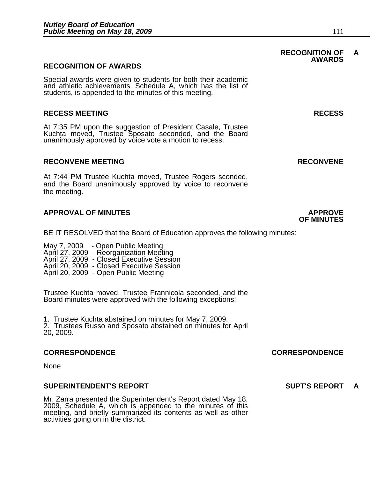#### **RECOGNITION OF AWARDS**

Special awards were given to students for both their academic and athletic achievements. Schedule A, which has the list of students, is appended to the minutes of this meeting.

#### **RECESS MEETING RECESS**

At 7:35 PM upon the suggestion of President Casale, Trustee Kuchta moved, Trustee Sposato seconded, and the Board unanimously approved by voice vote a motion to recess.

#### **RECONVENE MEETING RECONVENE**

At 7:44 PM Trustee Kuchta moved, Trustee Rogers sconded, and the Board unanimously approved by voice to reconvene the meeting.

#### **APPROVAL OF MINUTES APPROVE**

BE IT RESOLVED that the Board of Education approves the following minutes:

 May 7, 2009 - Open Public Meeting April 27, 2009 - Reorganization Meeting April 27, 2009 - Closed Executive Session April 20, 2009 - Closed Executive Session April 20, 2009 - Open Public Meeting

Trustee Kuchta moved, Trustee Frannicola seconded, and the Board minutes were approved with the following exceptions:

1. Trustee Kuchta abstained on minutes for May 7, 2009.

2. Trustees Russo and Sposato abstained on minutes for April 20, 2009.

#### **CORRESPONDENCE CORRESPONDENCE**

None

#### **SUPERINTENDENT'S REPORT SUPT'S REPORT A**

Mr. Zarra presented the Superintendent's Report dated May 18, 2009, Schedule A, which is appended to the minutes of this meeting, and briefly summarized its contents as well as other activities going on in the district.

#### **RECOGNITION OF A AWARDS**

## **OF MINUTES**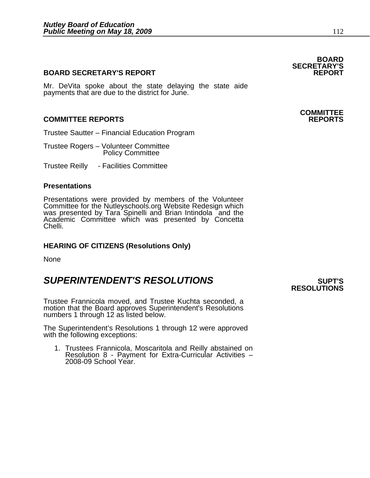#### **BOARD SECRETARY'S REPORT**

Mr. DeVita spoke about the state delaying the state aide payments that are due to the district for June.

#### **COMMITTEE REPORTS REPORTS**

Trustee Sautter – Financial Education Program

Trustee Rogers – Volunteer Committee Policy Committee

Trustee Reilly - Facilities Committee

#### **Presentations**

Presentations were provided by members of the Volunteer Committee for the Nutleyschools.org Website Redesign which was presented by Tara Spinelli and Brian Intindola and the Academic Committee which was presented by Concetta Chelli.

#### **HEARING OF CITIZENS (Resolutions Only)**

None

### **SUPERINTENDENT'S RESOLUTIONS** *SUPERINTENDENT'S*

Trustee Frannicola moved, and Trustee Kuchta seconded, a motion that the Board approves Superintendent's Resolutions numbers 1 through 12 as listed below.

The Superintendent's Resolutions 1 through 12 were approved with the following exceptions:

1. Trustees Frannicola, Moscaritola and Reilly abstained on Resolution 8 - Payment for Extra-Curricular Activities – 2008-09 School Year.

## **RESOLUTIONS**

**BOARD SECRETARY'S** 

# **COMMITTEE**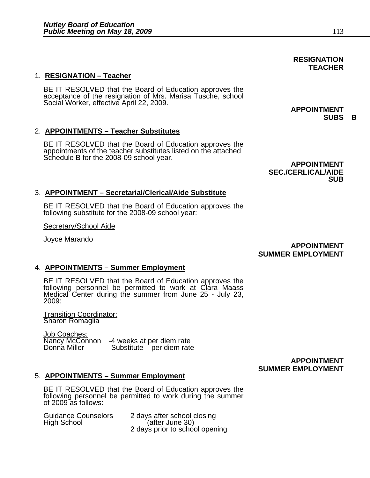#### 1. **RESIGNATION – Teacher**

BE IT RESOLVED that the Board of Education approves the acceptance of the resignation of Mrs. Marisa Tusche, school Social Worker, effective April 22, 2009.

### 2. **APPOINTMENTS – Teacher Substitutes**

BE IT RESOLVED that the Board of Education approves the appointments of the teacher substitutes listed on the attached Schedule B for the 2008-09 school year.<br>**APPOINTMENT** 

 **SEC./CERLICAL/AIDE SUB** 

#### 3. **APPOINTMENT – Secretarial/Clerical/Aide Substitute**

BE IT RESOLVED that the Board of Education approves the following substitute for the 2008-09 school year:

Secretary/School Aide

Joyce Marando **APPOINTMENT SUMMER EMPLOYMENT** 

#### 4. **APPOINTMENTS – Summer Employment**

BE IT RESOLVED that the Board of Education approves the following personnel be permitted to work at Clara Maass Medical Center during the summer from June 25 - July 23, 2009:

Transition Coordinator: Sharon Romaglia

Job Coaches:<br>Nancy McConnon Nancy McConnon -4 weeks at per diem rate  $-Substitute - per diem rate$ 

### **APPOINTMENT SUMMER EMPLOYMENT**

#### 5. **APPOINTMENTS – Summer Employment**

BE IT RESOLVED that the Board of Education approves the following personnel be permitted to work during the summer of 2009 as follows:

| <b>Guidance Counselors</b> | 2 days after school closing    |
|----------------------------|--------------------------------|
| High School                | (after June 30)                |
|                            | 2 days prior to school opening |

#### **APPOINTMENT SUBS B**

**RESIGNATION TEACHER**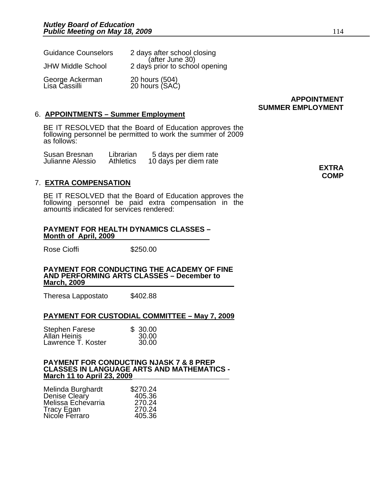| <b>Guidance Counselors</b>       | 2 days after school closing                       |
|----------------------------------|---------------------------------------------------|
| <b>JHW Middle School</b>         | (after June 30)<br>2 days prior to school opening |
| George Ackerman<br>Lisa Cassilli | 20 hours (504)<br>20 hours (SAC)                  |

#### **APPOINTMENT SUMMER EMPLOYMENT**

#### 6. **APPOINTMENTS – Summer Employment**

BE IT RESOLVED that the Board of Education approves the following personnel be permitted to work the summer of 2009 as follows:

| Susan Bresnan    | Librarian | 5 days per diem rate  |              |
|------------------|-----------|-----------------------|--------------|
| Julianne Alessio | Athletics | 10 days per diem rate |              |
|                  |           |                       | <b>EXTRA</b> |

#### 7. **EXTRA COMPENSATION**

BE IT RESOLVED that the Board of Education approves the following personnel be paid extra compensation in the amounts indicated for services rendered:

#### **PAYMENT FOR HEALTH DYNAMICS CLASSES – Month of April, 2009**

Rose Cioffi **\$250.00** 

**PAYMENT FOR CONDUCTING THE ACADEMY OF FINE AND PERFORMING ARTS CLASSES – December to March, 2009**

Theresa Lappostato \$402.88

#### **PAYMENT FOR CUSTODIAL COMMITTEE – May 7, 2009**

| <b>Stephen Farese</b> | \$30.00 |
|-----------------------|---------|
| Allan Heinis          | 30.00   |
| Lawrence T. Koster    | 30.00   |

#### **PAYMENT FOR CONDUCTING NJASK 7 & 8 PREP CLASSES IN LANGUAGE ARTS AND MATHEMATICS - March 11 to April 23, 2009**

| Melinda Burghardt  | \$270.24 |
|--------------------|----------|
| Denise Cleary      | 405.36   |
| Melissa Echevarria | 270.24   |
| Tracy Egan         | 270.24   |
| Nicole Ferraro     | 405.36   |

**COMP**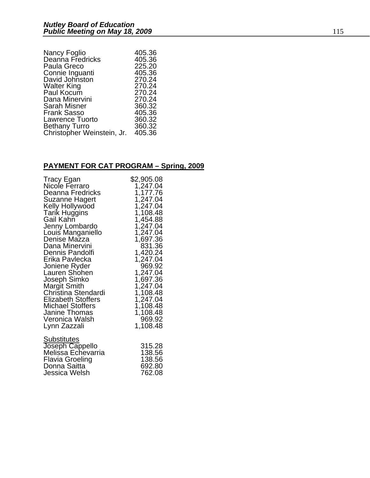| Nancy Foglio               | 405.36 |
|----------------------------|--------|
| Deanna Fredricks           | 405.36 |
| Paula Greco                | 225.20 |
| Connie Inguanti            | 405.36 |
| David Johnston             | 270.24 |
| <b>Walter King</b>         | 270.24 |
| Paul Kocum                 | 270.24 |
| Dana Minervini             | 270.24 |
| <b>Sarah Misner</b>        | 360.32 |
| <b>Frank Sasso</b>         | 405.36 |
| <b>Lawrence Tuorto</b>     | 360.32 |
| <b>Bethany Turro</b>       | 360.32 |
| Christopher Weinstein, Jr. | 405.36 |
|                            |        |

### **PAYMENT FOR CAT PROGRAM – Spring, 2009**

| Tracy Egan                            | \$2,905.08 |
|---------------------------------------|------------|
| Nicole Ferraro                        | 1,247.04   |
| Deanna Fredricks                      | 1,177.76   |
| Suzanne Hagert                        | 1,247.04   |
| Kelly Hollywood                       | 1,247.04   |
| <b>Tarik Huggins</b>                  | 1,108.48   |
| Gail Kahn                             | 1,454.88   |
| Jenny Lombardo                        | 1,247.04   |
| Louis Manganiello                     | 1,247.04   |
| Denise Mazza                          | 1,697.36   |
| Dana Minervini                        | 831.36     |
| Dennis Pandolfi                       | 1,420.24   |
| Erika Pavlecka                        | 1,247.04   |
| Joniene Ryder                         | 969.92     |
| Lauren Shohen                         | 1,247.04   |
| Joseph Simko                          | 1,697.36   |
| <b>Margit Smith</b>                   | 1,247.04   |
| Christina Stendardi                   | 1,108.48   |
| <b>Elizabeth Stoffers</b>             | 1,247.04   |
| <b>Michael Stoffers</b>               | 1,108.48   |
| Janine Thomas                         | 1,108.48   |
| Veronica Walsh                        | 969.92     |
| Lynn Zazzali                          | 1,108.48   |
| Substitutes                           | 315.28     |
| Joseph Cappello<br>Melissa Echevarria | 138.56     |
| Flavia Groeling                       | 138.56     |
| Donna Saitta                          | 692.80     |
| Jessica Welsh                         | 762.08     |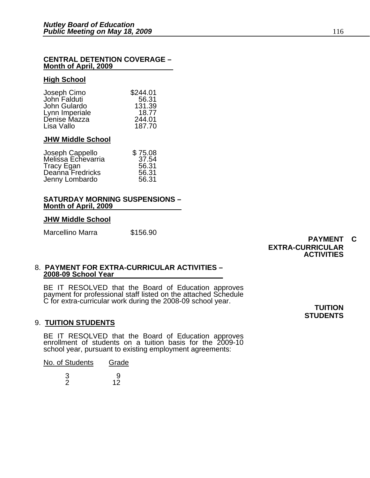#### **CENTRAL DETENTION COVERAGE – Month of April, 2009**

#### **High School**

|                             | \$244.01 |
|-----------------------------|----------|
| Joseph Cimo<br>John Falduti | 56.31    |
| John Gulardo                | 131.39   |
| Lynn Imperiale              | 18.77    |
| Denise Mazza                | 244.01   |
| Lisa Vallo                  | 187.70   |

#### **JHW Middle School**

| \$75.08 |
|---------|
| 37.54   |
| 56.31   |
| 56.31   |
| 56.31   |
|         |

#### **SATURDAY MORNING SUSPENSIONS – Month of April, 2009**

#### **JHW Middle School**

Marcellino Marra \$156.90

**PAYMENT C EXTRA-CURRICULAR ACTIVITIES** 

#### 8. **PAYMENT FOR EXTRA-CURRICULAR ACTIVITIES – 2008-09 School Year**

BE IT RESOLVED that the Board of Education approves payment for professional staff listed on the attached Schedule C for extra-curricular work during the 2008-09 school year. **TUITION** 

#### 9. **TUITION STUDENTS**

BE IT RESOLVED that the Board of Education approves enrollment of students on a tuition basis for the 2009-10 school year, pursuant to existing employment agreements:

| No. of Students | Grade |
|-----------------|-------|
| 3               | 9     |
| っ               | 12    |

**STUDENTS**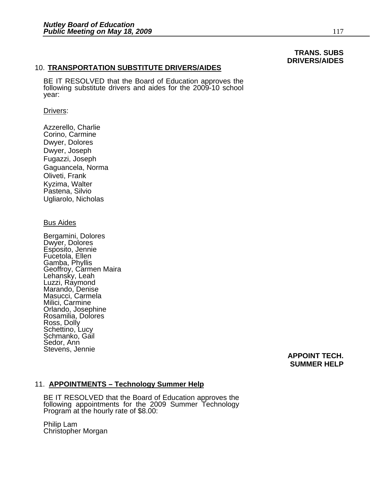### **TRANS. SUBS DRIVERS/AIDES**

#### 10. **TRANSPORTATION SUBSTITUTE DRIVERS/AIDES**

BE IT RESOLVED that the Board of Education approves the following substitute drivers and aides for the 2009-10 school year:

#### Drivers:

Azzerello, Charlie Corino, Carmine Dwyer, Dolores Dwyer, Joseph Fugazzi, Joseph Gaguancela, Norma Oliveti, Frank Kyzima, Walter Pastena, Silvio Ugliarolo, Nicholas

#### Bus Aides

Bergamini, Dolores Dwyer, Dolores Esposito, Jennie Fucetola, Ellen Gamba, Phyllis Geoffroy, Carmen Maira Lehansky, Leah Luzzi, Raymond Marando, Denise Masucci, Carmela Milici, Carmine Orlando, Josephine Rosamilia, Dolores Ross, Dolly Schettino, Lucy Schmanko, Gail Sedor, Ann Stevens, Jennie

#### **APPOINT TECH. SUMMER HELP**

#### 11. **APPOINTMENTS – Technology Summer Help**

BE IT RESOLVED that the Board of Education approves the following appointments for the 2009 Summer Technology Program at the hourly rate of \$8.00:

Philip Lam Christopher Morgan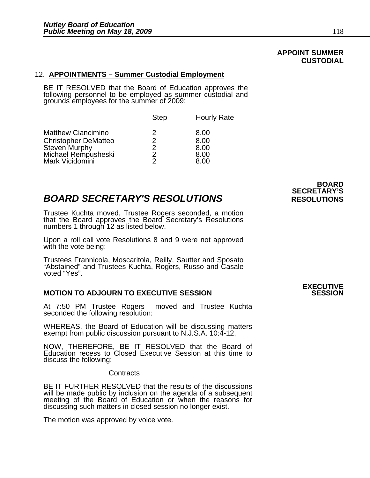### **APPOINT SUMMER CUSTODIAL**

#### 12. **APPOINTMENTS – Summer Custodial Employment**

BE IT RESOLVED that the Board of Education approves the following personnel to be employed as summer custodial and grounds employees for the summer of 2009:

|                                                                                                                     | <b>Step</b>                       | <b>Hourly Rate</b>                   |
|---------------------------------------------------------------------------------------------------------------------|-----------------------------------|--------------------------------------|
| <b>Matthew Ciancimino</b><br><b>Christopher DeMatteo</b><br>Steven Murphy<br>Michael Rempusheski<br>Mark Vicidomini | 2<br>2<br>$\mathcal{P}$<br>2<br>2 | 8.00<br>8.00<br>8.00<br>8.00<br>8.00 |
|                                                                                                                     |                                   |                                      |

### **BOARD SECRETARY'S RESOLUTIONS** RESOLUTIONS

Trustee Kuchta moved, Trustee Rogers seconded, a motion that the Board approves the Board Secretary's Resolutions numbers 1 through 12 as listed below.

Upon a roll call vote Resolutions 8 and 9 were not approved with the vote being:

Trustees Frannicola, Moscaritola, Reilly, Sautter and Sposato "Abstained" and Trustees Kuchta, Rogers, Russo and Casale voted "Yes".

#### **MOTION TO ADJOURN TO EXECUTIVE SESSION**

At 7:50 PM Trustee Rogers moved and Trustee Kuchta seconded the following resolution:

WHEREAS, the Board of Education will be discussing matters exempt from public discussion pursuant to N.J.S.A. 10:4-12,

NOW, THEREFORE, BE IT RESOLVED that the Board of Education recess to Closed Executive Session at this time to discuss the following:

**Contracts** 

BE IT FURTHER RESOLVED that the results of the discussions will be made public by inclusion on the agenda of a subsequent meeting of the Board of Education or when the reasons for discussing such matters in closed session no longer exist.

The motion was approved by voice vote.

 **BOARD SECRETARY'S** 

## **EXECUTIVE**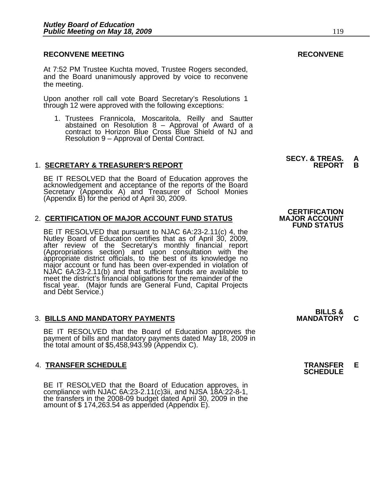At 7:52 PM Trustee Kuchta moved, Trustee Rogers seconded, and the Board unanimously approved by voice to reconvene the meeting.

Upon another roll call vote Board Secretary's Resolutions 1 through 12 were approved with the following exceptions:

1. Trustees Frannicola, Moscaritola, Reilly and Sautter abstained on Resolution 8 – Approval of Award of a contract to Horizon Blue Cross Blue Shield of NJ and Resolution 9 – Approval of Dental Contract.

#### 1. **SECRETARY & TREASURER'S REPORT**

BE IT RESOLVED that the Board of Education approves the acknowledgement and acceptance of the reports of the Board Secretary (Appendix A) and Treasurer of School Monies (Appendix B) for the period of April 30, 2009.

#### 2. **CERTIFICATION OF MAJOR ACCOUNT FUND STATUS**

BE IT RESOLVED that pursuant to NJAC 6A:23-2.11(c) 4, the<br>Nutley Board of Education certifies that as of April 30, 2009,<br>after review of the Secretary's monthly financial report<br>(Appropriations section) and upon consultati meet the district's financial obligations for the remainder of the fiscal year. (Major funds are General Fund, Capital Projects and Debt Service.)

#### 3. BILLS AND MANDATORY PAYMENTS **MANDATORY C**

BE IT RESOLVED that the Board of Education approves the payment of bills and mandatory payments dated May 18, 2009 in the total amount of \$5,458,943.99 (Appendix C).

## 4. **TRANSFER SCHEDULE TRANSFER E SCHEDULE**

BE IT RESOLVED that the Board of Education approves, in compliance with NJAC 6A:23-2.11(c)3ii, and NJSA 18A:22-8-1, the transfers in the 2008-09 budget dated April 30, 2009 in the amount of \$ 174,263.54 as appended (Append

**CERTIFICATION<br>MAJOR ACCOUNT FUND STATUS**

**SECY. & TREAS.<br>REPORT** 

**BILLS &**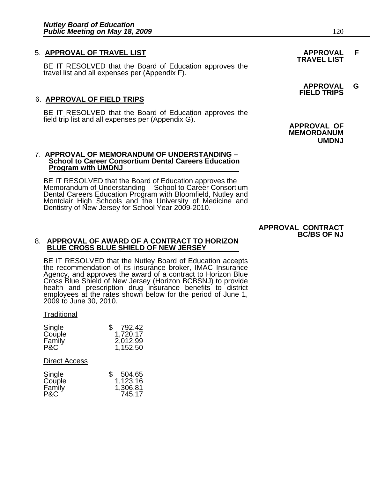## 5. **APPROVAL OF TRAVEL LIST APPROVAL F TRAVEL LIST**

BE IT RESOLVED that the Board of Education approves the travel list and all expenses per (Appendix F).

### 6. **APPROVAL OF FIELD TRIPS**

BE IT RESOLVED that the Board of Education approves the field trip list and all expenses per (Appendix G).

#### 7. **APPROVAL OF MEMORANDUM OF UNDERSTANDING – School to Career Consortium Dental Careers Education Program with UMDNJ**

BE IT RESOLVED that the Board of Education approves the<br>Memorandum of Understanding – School to Career Consortium<br>Dental Careers Education Program with Bloomfield, Nutley and Montclair High Schools and the University of Medicine and Dentistry of New Jersey for School Year 2009-2010.

 **APPROVAL G FIELD TRIPS** 

**APPROVAL OF MEMORDANUM UMDNJ** 

#### **APPROVAL CONTRACT BC/BS OF NJ**

#### 8. **APPROVAL OF AWARD OF A CONTRACT TO HORIZON BLUE CROSS BLUE SHIELD OF NEW JERSEY**

BE IT RESOLVED that the Nutley Board of Education accepts the recommendation of its insurance broker, IMAC Insurance Agency, and approves the award of a contract to Horizon Blue<br>Cross Blue Shield of New Jersey (Horizon BCBSNJ) to provide health and prescription drug insurance benefits to district employees at the rates shown below for the period of June 1, 2009 to June 30, 2010.

#### **Traditional**

| Single | 792.42<br>\$ |
|--------|--------------|
| Couple | 1,720.17     |
| Family | 2,012.99     |
| P&C    | 1,152.50     |

#### Direct Access

| Single | 504.65<br>\$ |
|--------|--------------|
| Couple | 1,123.16     |
| Family | 1,306.81     |
| P&C    | 745.17       |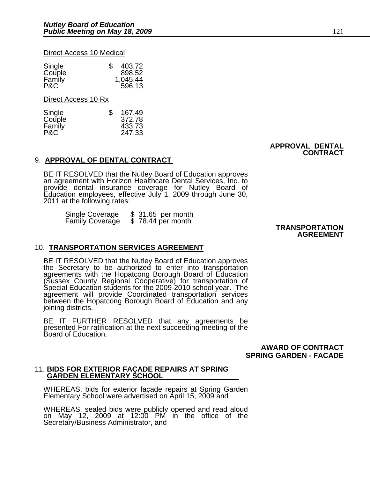#### Direct Access 10 Medical

| Single<br>Couple<br>Family | 403.72<br>S<br>898.52<br>1,045.44 |
|----------------------------|-----------------------------------|
| P&C                        | 596.13                            |

Direct Access 10 Rx

| S | 167.49 |
|---|--------|
|   | 372.78 |
|   | 433.73 |
|   | 247.33 |
|   |        |

 **APPROVAL DENTAL CONTRACT** 

#### 9. **APPROVAL OF DENTAL CONTRACT**

BE IT RESOLVED that the Nutley Board of Education approves an agreement with Horizon Healthcare Dental Services, Inc. to provide dental insurance coverage for Nutley Board of Education employees, effective July 1, 2009 through June 30, 2011 at the following rates:

Single Coverage \$ 31.65 per month Family Coverage \$ 78.44 per month **TRANSPORTATION** 

## **AGREEMENT**

#### 10. **TRANSPORTATION SERVICES AGREEMENT**

BE IT RESOLVED that the Nutley Board of Education approves<br>the Secretary to be authorized to enter into transportation<br>agreements with the Hopatcong Borough Board of Education<br>(Sussex County Regional Cooperative) for trans

BE IT FURTHER RESOLVED that any agreements be presented For ratification at the next succeeding meeting of the Board of Education.

 **AWARD OF CONTRACT SPRING GARDEN - FACADE** 

## 11. **BIDS FOR EXTERIOR FAÇADE REPAIRS AT SPRING GARDEN ELEMENTARY SCHOOL**

WHEREAS, bids for exterior façade repairs at Spring Garden<br>Elementary School were advertised on April 15, 2009 and

WHEREAS, sealed bids were publicly opened and read aloud<br>on May 12, 2009 at 12:00 PM in the office of the Secretary/Business Administrator, and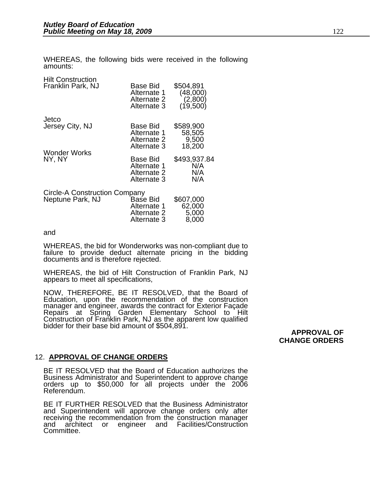WHEREAS, the following bids were received in the following amounts:

Hilt Construction

| Franklin Park, NJ                                 | Base Bid<br>Alternate 1<br>Alternate 2<br>Alternate 3 | \$504,891<br>(48,000)<br>(2,800)<br>(19,500) |
|---------------------------------------------------|-------------------------------------------------------|----------------------------------------------|
| Jetco<br>Jersey City, NJ                          | Base Bid<br>Alternate 1<br>Alternate 2<br>Alternate 3 | \$589,900<br>58,505<br>9,500<br>18,200       |
| <b>Wonder Works</b><br>NY, NY                     | Base Bid<br>Alternate 1<br>Alternate 2<br>Alternate 3 | \$493,937.84<br>N/A<br>N/A<br>N/A            |
| Circle-A Construction Company<br>Neptune Park, NJ | Base Bid<br>Alternate 1<br>Alternate 2<br>Alternate 3 | \$607,000<br>62,000<br>5,000<br>8.000        |

and

WHEREAS, the bid for Wonderworks was non-compliant due to failure to provide deduct alternate pricing in the bidding documents and is therefore rejected.

WHEREAS, the bid of Hilt Construction of Franklin Park, NJ appears to meet all specifications,

NOW, THEREFORE, BE IT RESOLVED, that the Board of Education, upon the recommendation of the construction manager and engineer, awards the contract for Exterior Façade Repairs at Spring Garden Elementary School to Hilt Construction of Franklin Park, NJ as the apparent low qualified bidder for their base bid amount of \$504,891.

**APPROVAL OF CHANGE ORDERS** 

#### 12. **APPROVAL OF CHANGE ORDERS**

BE IT RESOLVED that the Board of Education authorizes the Business Administrator and Superintendent to approve change orders up to \$50,000 for all projects under the 2006 Referendum.

BE IT FURTHER RESOLVED that the Business Administrator and Superintendent will approve change orders only after receiving the recommendation from the construction manager and architect or engineer and Facilities/Construction Committee.